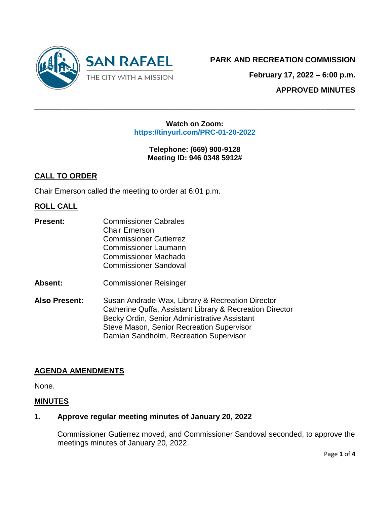

**February 17, 2022 – 6:00 p.m.**

**APPROVED MINUTES**

#### **Watch on Zoom: https://tinyurl.com/PRC-01-20-2022**

 $\_$  , and the contribution of the contribution of  $\mathcal{L}$  , and  $\mathcal{L}$  , and  $\mathcal{L}$  , and  $\mathcal{L}$  , and  $\mathcal{L}$  , and  $\mathcal{L}$  , and  $\mathcal{L}$  , and  $\mathcal{L}$  , and  $\mathcal{L}$  , and  $\mathcal{L}$  , and  $\mathcal{L}$  , and  $\mathcal{L$ 

**Telephone: (669) 900-9128 Meeting ID: 946 0348 5912#**

# **CALL TO ORDER**

Chair Emerson called the meeting to order at 6:01 p.m.

# **ROLL CALL**

- **Present:** Commissioner Cabrales Chair Emerson Commissioner Gutierrez Commissioner Laumann Commissioner Machado Commissioner Sandoval
- **Absent:** Commissioner Reisinger
- **Also Present:** Susan Andrade-Wax, Library & Recreation Director Catherine Quffa, Assistant Library & Recreation Director Becky Ordin, Senior Administrative Assistant Steve Mason, Senior Recreation Supervisor Damian Sandholm, Recreation Supervisor

# **AGENDA AMENDMENTS**

None.

### **MINUTES**

### **1. Approve regular meeting minutes of January 20, 2022**

Commissioner Gutierrez moved, and Commissioner Sandoval seconded, to approve the meetings minutes of January 20, 2022.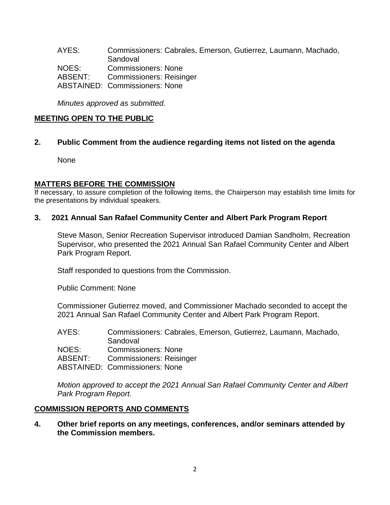AYES: Commissioners: Cabrales, Emerson, Gutierrez, Laumann, Machado, **Sandoval** NOES: Commissioners: None ABSENT: Commissioners: Reisinger ABSTAINED: Commissioners: None

*Minutes approved as submitted.*

### **MEETING OPEN TO THE PUBLIC**

**2. Public Comment from the audience regarding items not listed on the agenda**

None

### **MATTERS BEFORE THE COMMISSION**

If necessary, to assure completion of the following items, the Chairperson may establish time limits for the presentations by individual speakers.

#### **3. 2021 Annual San Rafael Community Center and Albert Park Program Report**

Steve Mason, Senior Recreation Supervisor introduced Damian Sandholm, Recreation Supervisor, who presented the 2021 Annual San Rafael Community Center and Albert Park Program Report.

Staff responded to questions from the Commission.

Public Comment: None

Commissioner Gutierrez moved, and Commissioner Machado seconded to accept the 2021 Annual San Rafael Community Center and Albert Park Program Report.

| AYES:   | Commissioners: Cabrales, Emerson, Gutierrez, Laumann, Machado, |
|---------|----------------------------------------------------------------|
|         | Sandoval                                                       |
| NOES:   | <b>Commissioners: None</b>                                     |
| ABSENT: | <b>Commissioners: Reisinger</b>                                |
|         | <b>ABSTAINED: Commissioners: None</b>                          |

*Motion approved to accept the 2021 Annual San Rafael Community Center and Albert Park Program Report.*

### **COMMISSION REPORTS AND COMMENTS**

**4. Other brief reports on any meetings, conferences, and/or seminars attended by the Commission members.**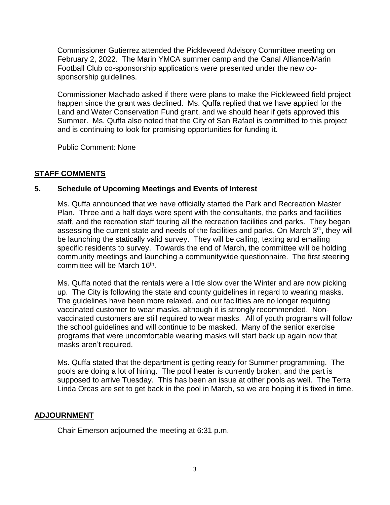Commissioner Gutierrez attended the Pickleweed Advisory Committee meeting on February 2, 2022. The Marin YMCA summer camp and the Canal Alliance/Marin Football Club co-sponsorship applications were presented under the new cosponsorship guidelines.

Commissioner Machado asked if there were plans to make the Pickleweed field project happen since the grant was declined. Ms. Quffa replied that we have applied for the Land and Water Conservation Fund grant, and we should hear if gets approved this Summer. Ms. Quffa also noted that the City of San Rafael is committed to this project and is continuing to look for promising opportunities for funding it.

Public Comment: None

# **STAFF COMMENTS**

# **5. Schedule of Upcoming Meetings and Events of Interest**

Ms. Quffa announced that we have officially started the Park and Recreation Master Plan. Three and a half days were spent with the consultants, the parks and facilities staff, and the recreation staff touring all the recreation facilities and parks. They began assessing the current state and needs of the facilities and parks. On March 3<sup>rd</sup>, they will be launching the statically valid survey. They will be calling, texting and emailing specific residents to survey. Towards the end of March, the committee will be holding community meetings and launching a communitywide questionnaire. The first steering committee will be March 16<sup>th</sup>.

Ms. Quffa noted that the rentals were a little slow over the Winter and are now picking up. The City is following the state and county guidelines in regard to wearing masks. The guidelines have been more relaxed, and our facilities are no longer requiring vaccinated customer to wear masks, although it is strongly recommended. Nonvaccinated customers are still required to wear masks. All of youth programs will follow the school guidelines and will continue to be masked. Many of the senior exercise programs that were uncomfortable wearing masks will start back up again now that masks aren't required.

Ms. Quffa stated that the department is getting ready for Summer programming. The pools are doing a lot of hiring. The pool heater is currently broken, and the part is supposed to arrive Tuesday. This has been an issue at other pools as well. The Terra Linda Orcas are set to get back in the pool in March, so we are hoping it is fixed in time.

# **ADJOURNMENT**

Chair Emerson adjourned the meeting at 6:31 p.m.